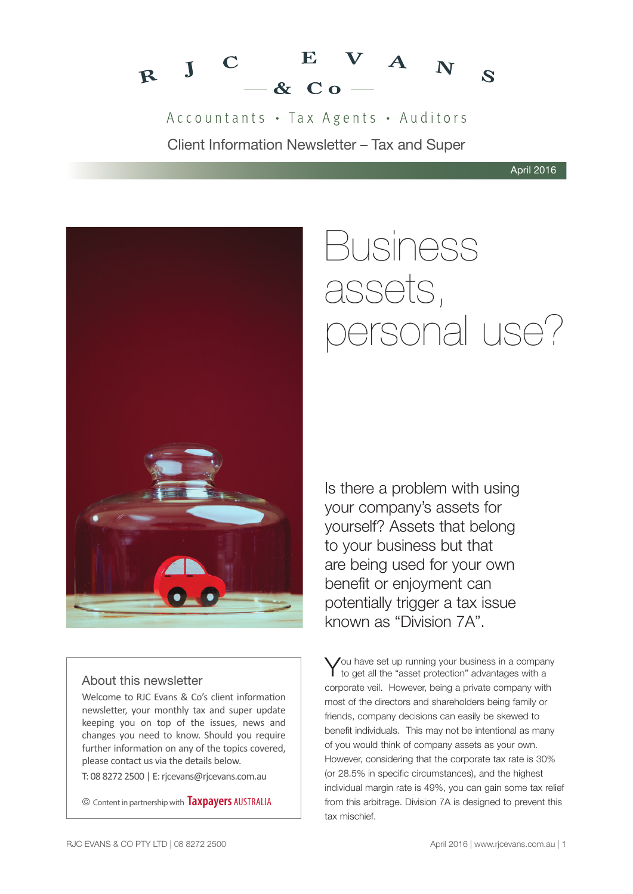

Accountants · Tax Agents · Auditors Client Information Newsletter – Tax and Super



### About this newsletter

Welcome to RJC Evans & Co's client information newsletter, your monthly tax and super update keeping you on top of the issues, news and changes you need to know. Should you require further information on any of the topics covered, please contact us via the details below.

T: 08 8272 2500 | E: rjcevans@rjcevans.com.au

© Content in partnership with **Taxpayers** AUSTRALIA

# Business assets, personal use?

Is there a problem with using your company's assets for yourself? Assets that belong to your business but that are being used for your own benefit or enjoyment can potentially trigger a tax issue known as "Division 7A".

You have set up running your business in a company<br>to get all the "asset protection" advantages with a corporate veil. However, being a private company with most of the directors and shareholders being family or friends, company decisions can easily be skewed to benefit individuals. This may not be intentional as many of you would think of company assets as your own. However, considering that the corporate tax rate is 30% (or 28.5% in specific circumstances), and the highest individual margin rate is 49%, you can gain some tax relief from this arbitrage. Division 7A is designed to prevent this tax mischief.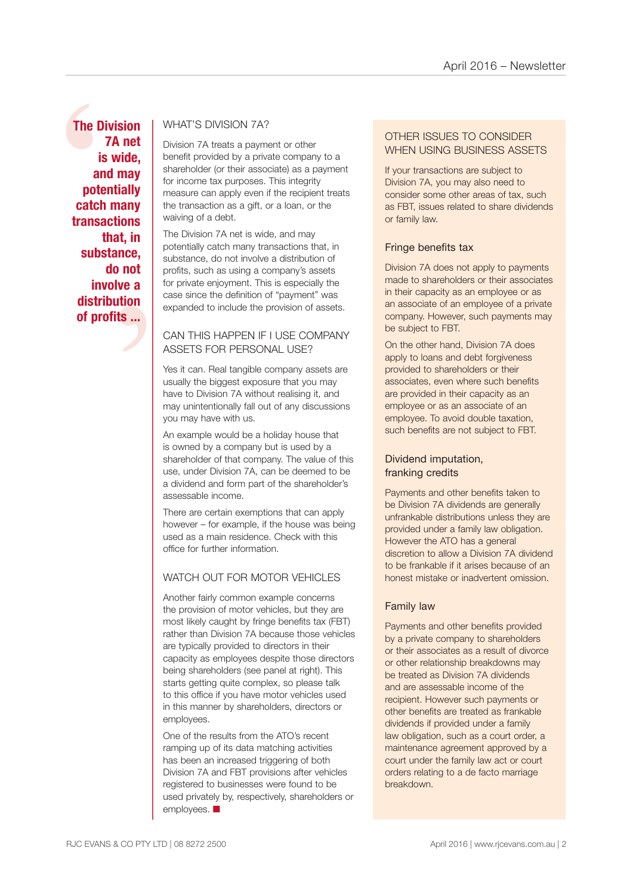The Diver<br>
7<br>
is<br>
and<br>
poter<br>
catch<br>
transad<br>
th<br>
subst t, in<br>
nce,<br>
not<br>
ve a<br>
tion<br>
is ... **The Division 7A net is wide, and may potentially catch many transactions that, in substance, do not involve a distribution of profits ...**

### WHAT'S DIVISION 7A?

Division 7A treats a payment or other benefit provided by a private company to a shareholder (or their associate) as a payment for income tax purposes. This integrity measure can apply even if the recipient treats the transaction as a gift, or a loan, or the waiving of a debt.

The Division 7A net is wide, and may potentially catch many transactions that, in substance, do not involve a distribution of profits, such as using a company's assets for private enjoyment. This is especially the case since the definition of "payment" was expanded to include the provision of assets.

### CAN THIS HAPPEN IF I USE COMPANY ASSETS FOR PERSONAL USE?

Yes it can. Real tangible company assets are usually the biggest exposure that you may have to Division 7A without realising it, and may unintentionally fall out of any discussions you may have with us.

An example would be a holiday house that is owned by a company but is used by a shareholder of that company. The value of this use, under Division 7A, can be deemed to be a dividend and form part of the shareholder's assessable income.

There are certain exemptions that can apply however – for example, if the house was being used as a main residence. Check with this office for further information.

### WATCH OUT FOR MOTOR VEHICLES

Another fairly common example concerns the provision of motor vehicles, but they are most likely caught by fringe benefits tax (FBT) rather than Division 7A because those vehicles are typically provided to directors in their capacity as employees despite those directors being shareholders (see panel at right). This starts getting quite complex, so please talk to this office if you have motor vehicles used in this manner by shareholders, directors or employees.

One of the results from the ATO's recent ramping up of its data matching activities has been an increased triggering of both Division 7A and FBT provisions after vehicles registered to businesses were found to be used privately by, respectively, shareholders or employees.  $\blacksquare$ 

### OTHER ISSUES TO CONSIDER WHEN USING BUSINESS ASSETS

If your transactions are subject to Division 7A, you may also need to consider some other areas of tax, such as FBT, issues related to share dividends or family law.

### Fringe benefits tax

Division 7A does not apply to payments made to shareholders or their associates in their capacity as an employee or as an associate of an employee of a private company. However, such payments may be subject to FBT.

On the other hand, Division 7A does apply to loans and debt forgiveness provided to shareholders or their associates, even where such benefits are provided in their capacity as an employee or as an associate of an employee. To avoid double taxation, such benefits are not subject to FBT.

### Dividend imputation, franking credits

Payments and other benefits taken to be Division 7A dividends are generally unfrankable distributions unless they are provided under a family law obligation. However the ATO has a general discretion to allow a Division 7A dividend to be frankable if it arises because of an honest mistake or inadvertent omission.

### Family law

Payments and other benefits provided by a private company to shareholders or their associates as a result of divorce or other relationship breakdowns may be treated as Division 7A dividends and are assessable income of the recipient. However such payments or other benefits are treated as frankable dividends if provided under a family law obligation, such as a court order, a maintenance agreement approved by a court under the family law act or court orders relating to a de facto marriage breakdown.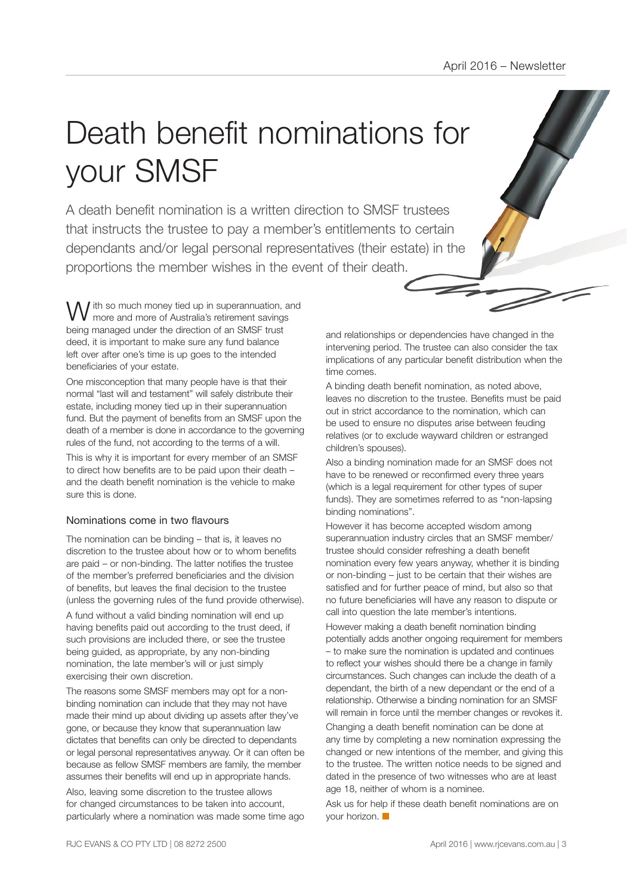# Death benefit nominations for your SMSF

A death benefit nomination is a written direction to SMSF trustees that instructs the trustee to pay a member's entitlements to certain dependants and/or legal personal representatives (their estate) in the proportions the member wishes in the event of their death.

I ith so much money tied up in superannuation, and more and more of Australia's retirement savings being managed under the direction of an SMSF trust deed, it is important to make sure any fund balance left over after one's time is up goes to the intended beneficiaries of your estate.

One misconception that many people have is that their normal "last will and testament" will safely distribute their estate, including money tied up in their superannuation fund. But the payment of benefits from an SMSF upon the death of a member is done in accordance to the governing rules of the fund, not according to the terms of a will.

This is why it is important for every member of an SMSF to direct how benefits are to be paid upon their death – and the death benefit nomination is the vehicle to make sure this is done.

### Nominations come in two flavours

The nomination can be binding – that is, it leaves no discretion to the trustee about how or to whom benefits are paid – or non-binding. The latter notifies the trustee of the member's preferred beneficiaries and the division of benefits, but leaves the final decision to the trustee (unless the governing rules of the fund provide otherwise).

A fund without a valid binding nomination will end up having benefits paid out according to the trust deed, if such provisions are included there, or see the trustee being guided, as appropriate, by any non-binding nomination, the late member's will or just simply exercising their own discretion.

The reasons some SMSF members may opt for a nonbinding nomination can include that they may not have made their mind up about dividing up assets after they've gone, or because they know that superannuation law dictates that benefits can only be directed to dependants or legal personal representatives anyway. Or it can often be because as fellow SMSF members are family, the member assumes their benefits will end up in appropriate hands.

Also, leaving some discretion to the trustee allows for changed circumstances to be taken into account, particularly where a nomination was made some time ago and relationships or dependencies have changed in the intervening period. The trustee can also consider the tax implications of any particular benefit distribution when the time comes.

A binding death benefit nomination, as noted above, leaves no discretion to the trustee. Benefits must be paid out in strict accordance to the nomination, which can be used to ensure no disputes arise between feuding relatives (or to exclude wayward children or estranged children's spouses).

Also a binding nomination made for an SMSF does not have to be renewed or reconfirmed every three years (which is a legal requirement for other types of super funds). They are sometimes referred to as "non-lapsing binding nominations".

However it has become accepted wisdom among superannuation industry circles that an SMSF member/ trustee should consider refreshing a death benefit nomination every few years anyway, whether it is binding or non-binding – just to be certain that their wishes are satisfied and for further peace of mind, but also so that no future beneficiaries will have any reason to dispute or call into question the late member's intentions.

However making a death benefit nomination binding potentially adds another ongoing requirement for members – to make sure the nomination is updated and continues to reflect your wishes should there be a change in family circumstances. Such changes can include the death of a dependant, the birth of a new dependant or the end of a relationship. Otherwise a binding nomination for an SMSF will remain in force until the member changes or revokes it.

Changing a death benefit nomination can be done at any time by completing a new nomination expressing the changed or new intentions of the member, and giving this to the trustee. The written notice needs to be signed and dated in the presence of two witnesses who are at least age 18, neither of whom is a nominee.

Ask us for help if these death benefit nominations are on your horizon.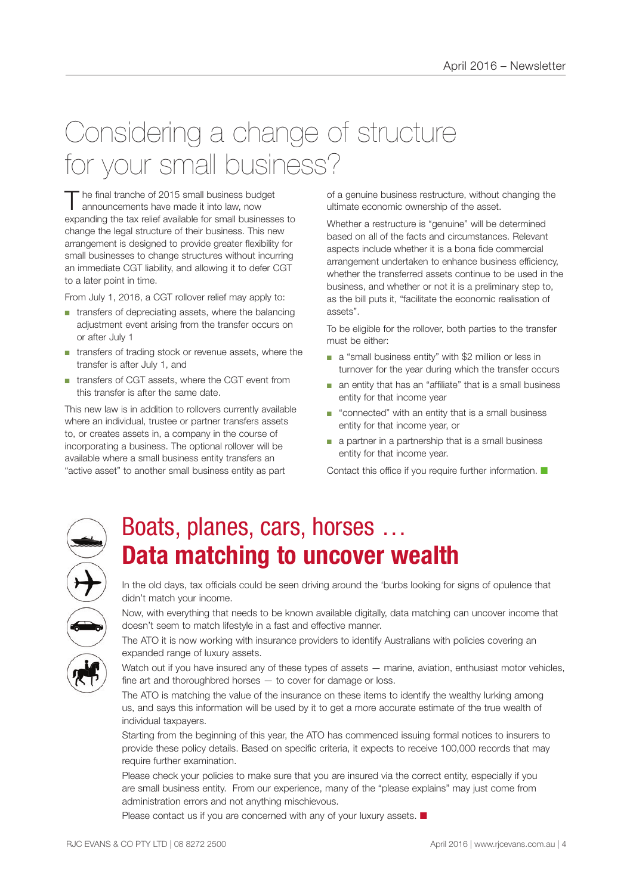### Considering a change of structure for your small business?

The final tranche of 2015 small business budget<br>announcements have made it into law, now expanding the tax relief available for small businesses to change the legal structure of their business. This new arrangement is designed to provide greater flexibility for small businesses to change structures without incurring an immediate CGT liability, and allowing it to defer CGT to a later point in time.

From July 1, 2016, a CGT rollover relief may apply to:

- transfers of depreciating assets, where the balancing adjustment event arising from the transfer occurs on or after July 1
- transfers of trading stock or revenue assets, where the transfer is after July 1, and
- transfers of CGT assets, where the CGT event from this transfer is after the same date.

This new law is in addition to rollovers currently available where an individual, trustee or partner transfers assets to, or creates assets in, a company in the course of incorporating a business. The optional rollover will be available where a small business entity transfers an "active asset" to another small business entity as part

of a genuine business restructure, without changing the ultimate economic ownership of the asset.

Whether a restructure is "genuine" will be determined based on all of the facts and circumstances. Relevant aspects include whether it is a bona fide commercial arrangement undertaken to enhance business efficiency, whether the transferred assets continue to be used in the business, and whether or not it is a preliminary step to, as the bill puts it, "facilitate the economic realisation of assets".

To be eligible for the rollover, both parties to the transfer must be either:

- a "small business entity" with \$2 million or less in turnover for the year during which the transfer occurs
- an entity that has an "affiliate" that is a small business entity for that income year
- "connected" with an entity that is a small business entity for that income year, or
- a partner in a partnership that is a small business entity for that income year.

Contact this office if you require further information.  $\blacksquare$ 



### Boats, planes, cars, horses … **Data matching to uncover wealth**

In the old days, tax officials could be seen driving around the 'burbs looking for signs of opulence that didn't match your income.

Now, with everything that needs to be known available digitally, data matching can uncover income that doesn't seem to match lifestyle in a fast and effective manner.

The ATO it is now working with insurance providers to identify Australians with policies covering an expanded range of luxury assets.

Watch out if you have insured any of these types of assets — marine, aviation, enthusiast motor vehicles, fine art and thoroughbred horses — to cover for damage or loss.

The ATO is matching the value of the insurance on these items to identify the wealthy lurking among us, and says this information will be used by it to get a more accurate estimate of the true wealth of individual taxpayers.

Starting from the beginning of this year, the ATO has commenced issuing formal notices to insurers to provide these policy details. Based on specific criteria, it expects to receive 100,000 records that may require further examination.

Please check your policies to make sure that you are insured via the correct entity, especially if you are small business entity. From our experience, many of the "please explains" may just come from administration errors and not anything mischievous.

Please contact us if you are concerned with any of your luxury assets.  $\blacksquare$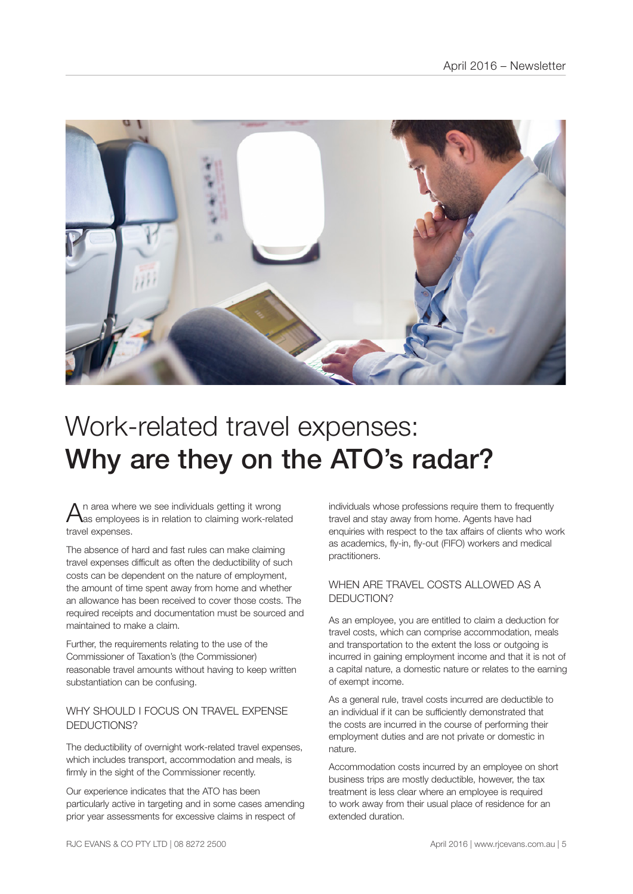

### Work-related travel expenses: Why are they on the ATO's radar?

 $A$ n area where we see individuals getting it wrong<br>Aas employees is in relation to claiming work-related travel expenses.

The absence of hard and fast rules can make claiming travel expenses difficult as often the deductibility of such costs can be dependent on the nature of employment, the amount of time spent away from home and whether an allowance has been received to cover those costs. The required receipts and documentation must be sourced and maintained to make a claim.

Further, the requirements relating to the use of the Commissioner of Taxation's (the Commissioner) reasonable travel amounts without having to keep written substantiation can be confusing.

### WHY SHOULD LEOCUS ON TRAVEL EXPENSE DEDUCTIONS?

The deductibility of overnight work-related travel expenses, which includes transport, accommodation and meals, is firmly in the sight of the Commissioner recently.

Our experience indicates that the ATO has been particularly active in targeting and in some cases amending prior year assessments for excessive claims in respect of

individuals whose professions require them to frequently travel and stay away from home. Agents have had enquiries with respect to the tax affairs of clients who work as academics, fly-in, fly-out (FIFO) workers and medical practitioners.

### WHEN ARE TRAVEL COSTS ALLOWED AS A DEDUCTION?

As an employee, you are entitled to claim a deduction for travel costs, which can comprise accommodation, meals and transportation to the extent the loss or outgoing is incurred in gaining employment income and that it is not of a capital nature, a domestic nature or relates to the earning of exempt income.

As a general rule, travel costs incurred are deductible to an individual if it can be sufficiently demonstrated that the costs are incurred in the course of performing their employment duties and are not private or domestic in nature.

Accommodation costs incurred by an employee on short business trips are mostly deductible, however, the tax treatment is less clear where an employee is required to work away from their usual place of residence for an extended duration.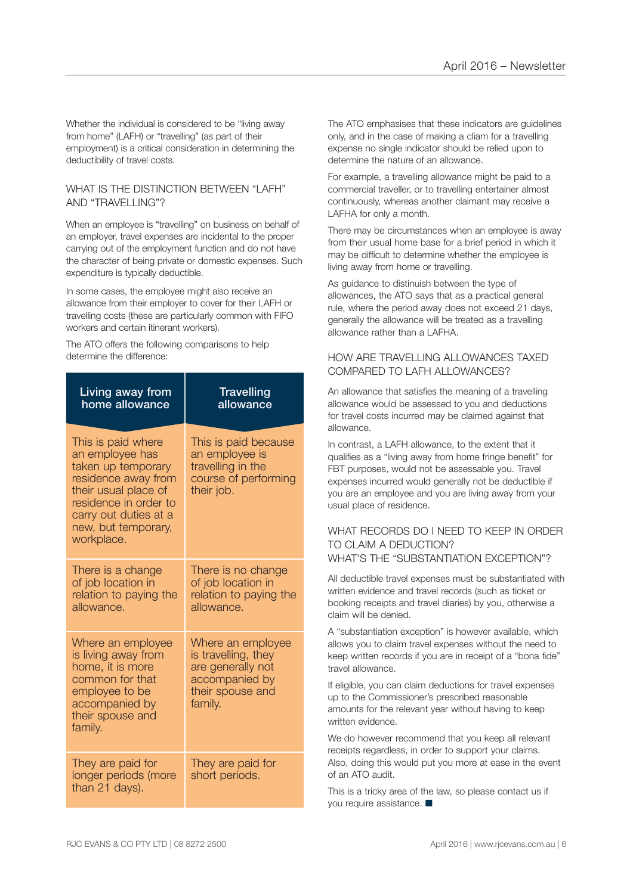Whether the individual is considered to be "living away from home" (LAFH) or "travelling" (as part of their employment) is a critical consideration in determining the deductibility of travel costs.

#### WHAT IS THE DISTINCTION BETWEEN "I AFH" AND "TRAVELLING"?

When an employee is "travelling" on business on behalf of an employer, travel expenses are incidental to the proper carrying out of the employment function and do not have the character of being private or domestic expenses. Such expenditure is typically deductible.

In some cases, the employee might also receive an allowance from their employer to cover for their LAFH or travelling costs (these are particularly common with FIFO workers and certain itinerant workers).

The ATO offers the following comparisons to help determine the difference:

| Living away from<br>home allowance                                                                                                                                                                | <b>Travelling</b><br>allowance                                                                                 |
|---------------------------------------------------------------------------------------------------------------------------------------------------------------------------------------------------|----------------------------------------------------------------------------------------------------------------|
| This is paid where<br>an employee has<br>taken up temporary<br>residence away from<br>their usual place of<br>residence in order to<br>carry out duties at a<br>new, but temporary,<br>workplace. | This is paid because<br>an employee is<br>travelling in the<br>course of performing<br>their job.              |
| There is a change<br>of job location in<br>relation to paying the<br>allowance.                                                                                                                   | There is no change<br>of job location in<br>relation to paying the<br>allowance.                               |
| Where an employee<br>is living away from<br>home, it is more<br>common for that<br>employee to be<br>accompanied by<br>their spouse and<br>family.                                                | Where an employee<br>is travelling, they<br>are generally not<br>accompanied by<br>their spouse and<br>family. |
| They are paid for<br>longer periods (more<br>than 21 days).                                                                                                                                       | They are paid for<br>short periods.                                                                            |

The ATO emphasises that these indicators are guidelines only, and in the case of making a cliam for a travelling expense no single indicator should be relied upon to determine the nature of an allowance.

For example, a travelling allowance might be paid to a commercial traveller, or to travelling entertainer almost continuously, whereas another claimant may receive a LAFHA for only a month.

There may be circumstances when an employee is away from their usual home base for a brief period in which it may be difficult to determine whether the employee is living away from home or travelling.

As guidance to distinuish between the type of allowances, the ATO says that as a practical general rule, where the period away does not exceed 21 days, generally the allowance will be treated as a travelling allowance rather than a LAFHA.

### HOW ARE TRAVELLING ALLOWANCES TAXED. COMPARED TO LAFH ALLOWANCES?

An allowance that satisfies the meaning of a travelling allowance would be assessed to you and deductions for travel costs incurred may be claimed against that allowance.

In contrast, a LAFH allowance, to the extent that it qualifies as a "living away from home fringe benefit" for FBT purposes, would not be assessable you. Travel expenses incurred would generally not be deductible if you are an employee and you are living away from your usual place of residence.

#### WHAT RECORDS DO I NEED TO KEEP IN ORDER TO CLAIM A DEDUCTION? WHAT'S THE "SUBSTANTIATION EXCEPTION"?

All deductible travel expenses must be substantiated with written evidence and travel records (such as ticket or booking receipts and travel diaries) by you, otherwise a claim will be denied.

A "substantiation exception" is however available, which allows you to claim travel expenses without the need to keep written records if you are in receipt of a "bona fide" travel allowance.

If eligible, you can claim deductions for travel expenses up to the Commissioner's prescribed reasonable amounts for the relevant year without having to keep written evidence.

We do however recommend that you keep all relevant receipts regardless, in order to support your claims. Also, doing this would put you more at ease in the event of an ATO audit.

This is a tricky area of the law, so please contact us if you require assistance.  $\blacksquare$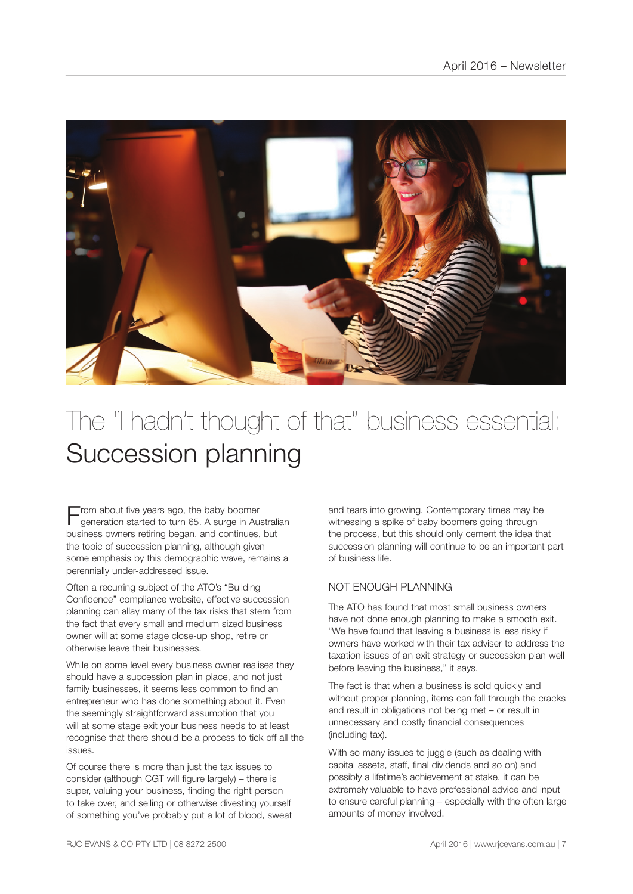

### The "I hadn't thought of that" business essential: Succession planning

 $\blacksquare$  rom about five years ago, the baby boomer generation started to turn 65. A surge in Australian business owners retiring began, and continues, but the topic of succession planning, although given some emphasis by this demographic wave, remains a perennially under-addressed issue.

Often a recurring subject of the ATO's "Building Confidence" compliance website, effective succession planning can allay many of the tax risks that stem from the fact that every small and medium sized business owner will at some stage close-up shop, retire or otherwise leave their businesses.

While on some level every business owner realises they should have a succession plan in place, and not just family businesses, it seems less common to find an entrepreneur who has done something about it. Even the seemingly straightforward assumption that you will at some stage exit your business needs to at least recognise that there should be a process to tick off all the issues.

Of course there is more than just the tax issues to consider (although CGT will figure largely) – there is super, valuing your business, finding the right person to take over, and selling or otherwise divesting yourself of something you've probably put a lot of blood, sweat

and tears into growing. Contemporary times may be witnessing a spike of baby boomers going through the process, but this should only cement the idea that succession planning will continue to be an important part of business life.

### NOT ENOUGH PLANNING

The ATO has found that most small business owners have not done enough planning to make a smooth exit. "We have found that leaving a business is less risky if owners have worked with their tax adviser to address the taxation issues of an exit strategy or succession plan well before leaving the business," it says.

The fact is that when a business is sold quickly and without proper planning, items can fall through the cracks and result in obligations not being met – or result in unnecessary and costly financial consequences (including tax).

With so many issues to juggle (such as dealing with capital assets, staff, final dividends and so on) and possibly a lifetime's achievement at stake, it can be extremely valuable to have professional advice and input to ensure careful planning – especially with the often large amounts of money involved.